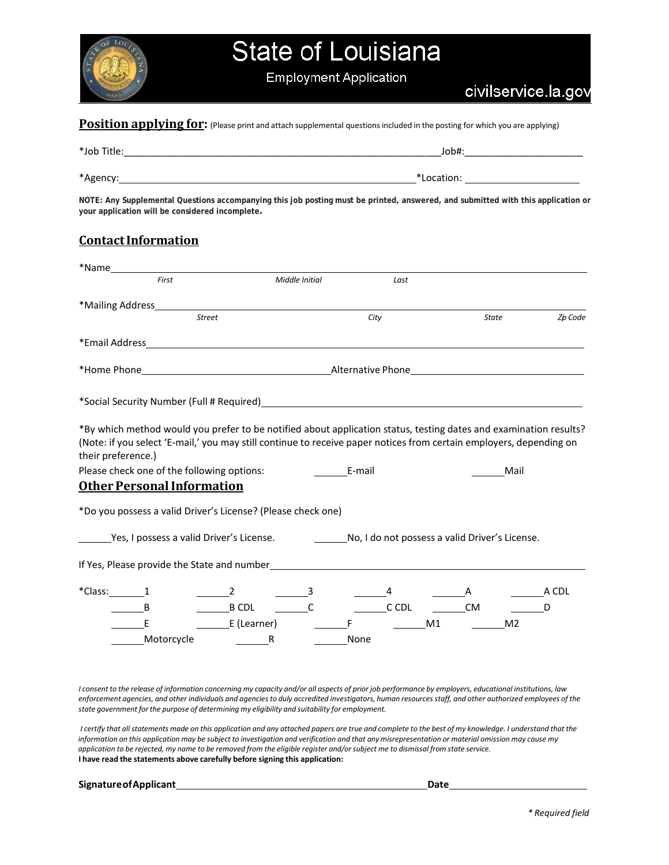

**Position applying for:** (Please print and attach supplemental questions included in the posting for which you are applying)

| *Job Title: | Job#:      |
|-------------|------------|
|             |            |
| *Agency:    | *Location: |

**NOTE: Any Supplemental Questions accompanying this job posting must be printed, answered, and submitted with this application or your application will be considered incomplete.**

### **ContactInformation**

|                    | First                                                                                                                                                                                                                                    |                                           | Middle Initial |      | Last         |    |           |                |         |
|--------------------|------------------------------------------------------------------------------------------------------------------------------------------------------------------------------------------------------------------------------------------|-------------------------------------------|----------------|------|--------------|----|-----------|----------------|---------|
|                    |                                                                                                                                                                                                                                          |                                           |                |      |              |    |           |                |         |
|                    | <b>Street</b>                                                                                                                                                                                                                            |                                           |                | City |              |    |           | State          | Zp Code |
|                    | *Email Address and the state of the state of the state of the state of the state of the state of the state of the state of the state of the state of the state of the state of the state of the state of the state of the stat           |                                           |                |      |              |    |           |                |         |
|                    |                                                                                                                                                                                                                                          |                                           |                |      |              |    |           |                |         |
|                    | *Social Security Number (Full # Required) Manual Communication of the Communication of the Communication of the Communication of the Communication of the Communication of the Communication of the Communication of the Commu           |                                           |                |      |              |    |           |                |         |
| their preference.) | *By which method would you prefer to be notified about application status, testing dates and examination results?<br>(Note: if you select 'E-mail,' you may still continue to receive paper notices from certain employers, depending on |                                           |                |      |              |    |           |                |         |
|                    | Please check one of the following options:                                                                                                                                                                                               |                                           | <b>E-mail</b>  |      |              |    |           | Mail           |         |
|                    | <b>Other Personal Information</b>                                                                                                                                                                                                        |                                           |                |      |              |    |           |                |         |
|                    | *Do you possess a valid Driver's License? (Please check one)                                                                                                                                                                             |                                           |                |      |              |    |           |                |         |
|                    | Yes, I possess a valid Driver's License. No, I do not possess a valid Driver's License.                                                                                                                                                  |                                           |                |      |              |    |           |                |         |
|                    |                                                                                                                                                                                                                                          |                                           |                |      |              |    |           |                |         |
| $*$ Class: 1       |                                                                                                                                                                                                                                          | $\frac{2}{\sqrt{3}}$ $\frac{3}{\sqrt{3}}$ |                |      |              |    |           |                | A CDL   |
|                    |                                                                                                                                                                                                                                          | $\overline{\mathsf{B}\,\mathsf{CDL}}$     |                |      | $\_\_$ C CDL |    | <b>CM</b> |                | - D     |
|                    | E                                                                                                                                                                                                                                        | E (Learner)                               |                |      |              | M1 |           | M <sub>2</sub> |         |
|                    | Motorcycle                                                                                                                                                                                                                               | R                                         |                | None |              |    |           |                |         |

I consent to the release of information concerning my capacity and/or all aspects of prior job performance by employers, educational institutions, law enforcement agencies, and other individuals and agencies to duly accredited investigators, human resources staff, and other authorized employees of the *state government for the purpose of determining my eligibility and suitability for employment.*

I certify that all statements made on this application and any attached papers are true and complete to the best of my knowledge. I understand that the information on this application may be subject to investigation and verification and that any misrepresentation or material omission may cause my application to be rejected, my name to be removed from the eligible register and/or subject me to dismissal from state service. **I have read the statements above carefully before signing this application:**

| <b>Signature of Applicant</b> | Date |
|-------------------------------|------|
|                               |      |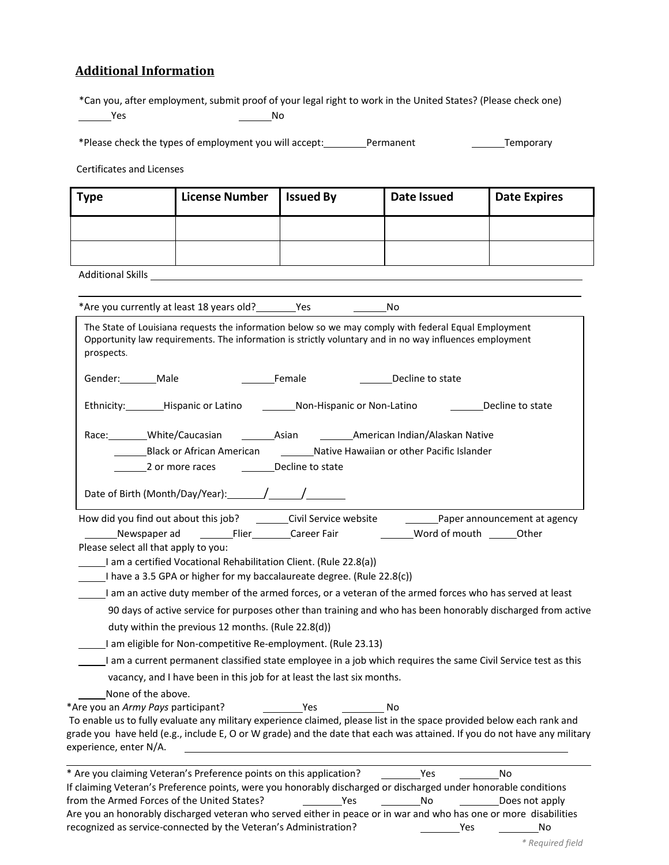### **Additional Information**

\*Can you, after employment, submit proof of your legal right to work in the United States? (Please check one) <u>Notice and the New Yes are not needed</u> the Note and Note and Note and Note and Note and Note and Note and Note and Note and Note and Note and Note and Note and Note and Note and Note and Note and Note and Note and Note an

\*Please check the types of employment you will accept: Permanent Fermanent Temporary

Certificates and Licenses

| <b>Type</b> | <b>License Number</b> | <b>Issued By</b> | Date Issued | <b>Date Expires</b> |
|-------------|-----------------------|------------------|-------------|---------------------|
|             |                       |                  |             |                     |
|             |                       |                  |             |                     |

Additional Skills

\*Are you currently at least 18 years old? \_\_\_\_\_\_\_\_Yes \_\_\_\_\_\_\_\_\_\_\_\_\_\_\_\_\_\_\_No

| prospects.             | The State of Louisiana requests the information below so we may comply with federal Equal Employment<br>Opportunity law requirements. The information is strictly voluntary and in no way influences employment                                                                                                                                                                                                                                                                                                                                                                                                                                                                                  |                       |                                |                  |                                    |
|------------------------|--------------------------------------------------------------------------------------------------------------------------------------------------------------------------------------------------------------------------------------------------------------------------------------------------------------------------------------------------------------------------------------------------------------------------------------------------------------------------------------------------------------------------------------------------------------------------------------------------------------------------------------------------------------------------------------------------|-----------------------|--------------------------------|------------------|------------------------------------|
|                        | Gender: Male                                                                                                                                                                                                                                                                                                                                                                                                                                                                                                                                                                                                                                                                                     | Female                |                                | Decline to state |                                    |
|                        | Ethnicity: Hispanic or Latino                                                                                                                                                                                                                                                                                                                                                                                                                                                                                                                                                                                                                                                                    |                       | Non-Hispanic or Non-Latino     |                  | Decline to state                   |
|                        | Race: White/Caucasian                                                                                                                                                                                                                                                                                                                                                                                                                                                                                                                                                                                                                                                                            | __________Asian       | American Indian/Alaskan Native |                  |                                    |
|                        | Black or African American ____________Native Hawaiian or other Pacific Islander                                                                                                                                                                                                                                                                                                                                                                                                                                                                                                                                                                                                                  |                       |                                |                  |                                    |
|                        | 2 or more races                                                                                                                                                                                                                                                                                                                                                                                                                                                                                                                                                                                                                                                                                  | Decline to state      |                                |                  |                                    |
|                        |                                                                                                                                                                                                                                                                                                                                                                                                                                                                                                                                                                                                                                                                                                  |                       |                                |                  |                                    |
|                        | How did you find out about this job?<br>Please select all that apply to you:<br>I am a certified Vocational Rehabilitation Client. (Rule 22.8(a))<br>I have a 3.5 GPA or higher for my baccalaureate degree. (Rule 22.8(c))<br>I am an active duty member of the armed forces, or a veteran of the armed forces who has served at least<br>90 days of active service for purposes other than training and who has been honorably discharged from active<br>duty within the previous 12 months. (Rule 22.8(d))<br>I am eligible for Non-competitive Re-employment. (Rule 23.13)<br>I am a current permanent classified state employee in a job which requires the same Civil Service test as this | Civil Service website |                                |                  | Paper announcement at agency       |
| experience, enter N/A. | vacancy, and I have been in this job for at least the last six months.<br>None of the above.<br>*Are you an Army Pays participant?<br>To enable us to fully evaluate any military experience claimed, please list in the space provided below each rank and<br>grade you have held (e.g., include E, O or W grade) and the date that each was attained. If you do not have any military                                                                                                                                                                                                                                                                                                          | <u>Nes</u>            | $\overline{\phantom{a}}$ No    |                  |                                    |
|                        | * Are you claiming Veteran's Preference points on this application? ____________Yes<br>If claiming Veteran's Preference points, were you honorably discharged or discharged under honorable conditions<br>from the Armed Forces of the United States?<br>Are you an honorably discharged veteran who served either in peace or in war and who has one or more disabilities<br>recognized as service-connected by the Veteran's Administration?                                                                                                                                                                                                                                                   |                       | Yes                            | No<br>Yes        | No.<br>Does not apply<br><b>No</b> |

 $\overline{\phantom{0}}$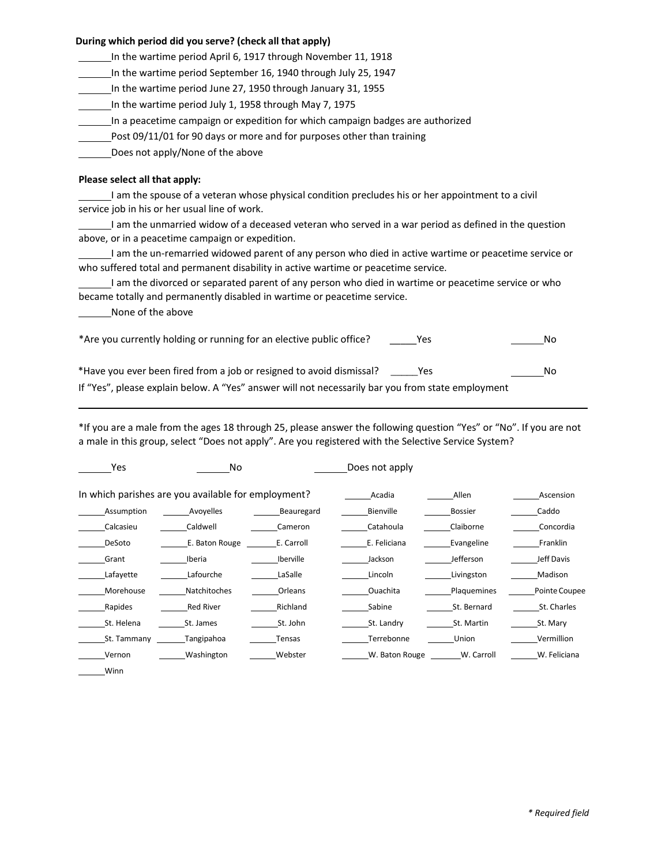#### **During which period did you serve? (check all that apply)**

In the wartime period April 6, 1917 through November 11, 1918

In the wartime period September 16, 1940 through July 25, 1947

In the wartime period June 27, 1950 through January 31, 1955

In the wartime period July 1, 1958 through May 7, 1975

In a peacetime campaign or expedition for which campaign badges are authorized

Post 09/11/01 for 90 days or more and for purposes other than training

Does not apply/None of the above

#### **Please select all that apply:**

I am the spouse of a veteran whose physical condition precludes his or her appointment to a civil service job in his or her usual line of work.

I am the unmarried widow of a deceased veteran who served in a war period as defined in the question above, or in a peacetime campaign or expedition.

I am the un‐remarried widowed parent of any person who died in active wartime or peacetime service or who suffered total and permanent disability in active wartime or peacetime service.

I am the divorced or separated parent of any person who died in wartime or peacetime service or who became totally and permanently disabled in wartime or peacetime service.

None of the above

| *Are you currently holding or running for an elective public office?<br>Yes                       | Nο |
|---------------------------------------------------------------------------------------------------|----|
| *Have you ever been fired from a job or resigned to avoid dismissal?<br>- Yes                     | N٥ |
| If "Yes", please explain below. A "Yes" answer will not necessarily bar you from state employment |    |

\*If you are a male from the ages 18 through 25, please answer the following question "Yes" or "No". If you are not a male in this group, select "Does not apply". Are you registered with the Selective Service System?

| Yes                                                 | No.                 |                  | Does not apply |                |               |
|-----------------------------------------------------|---------------------|------------------|----------------|----------------|---------------|
| In which parishes are you available for employment? |                     |                  | Acadia         | Allen          | Ascension     |
| Assumption                                          | Avoyelles           | Beauregard       | Bienville      | <b>Bossier</b> | Caddo         |
| Calcasieu                                           | Caldwell            | Cameron          | Catahoula      | Claiborne      | Concordia     |
| DeSoto                                              | E. Baton Rouge      | E. Carroll       | E. Feliciana   | Evangeline     | Franklin      |
| Grant                                               | Iberia              | <b>Iberville</b> | Jackson        | Jefferson      | Jeff Davis    |
| Lafayette                                           | Lafourche           | LaSalle          | Lincoln        | Livingston     | Madison       |
| Morehouse                                           | <b>Natchitoches</b> | Orleans          | Ouachita       | Plaquemines    | Pointe Coupee |
| Rapides                                             | <b>Red River</b>    | Richland         | Sabine         | St. Bernard    | St. Charles   |
| St. Helena                                          | St. James           | St. John         | St. Landry     | St. Martin     | St. Mary      |
| St. Tammany                                         | Tangipahoa          | Tensas           | Terrebonne     | Union          | Vermillion    |
| Vernon                                              | Washington          | Webster          | W. Baton Rouge | W. Carroll     | W. Feliciana  |
| Winn                                                |                     |                  |                |                |               |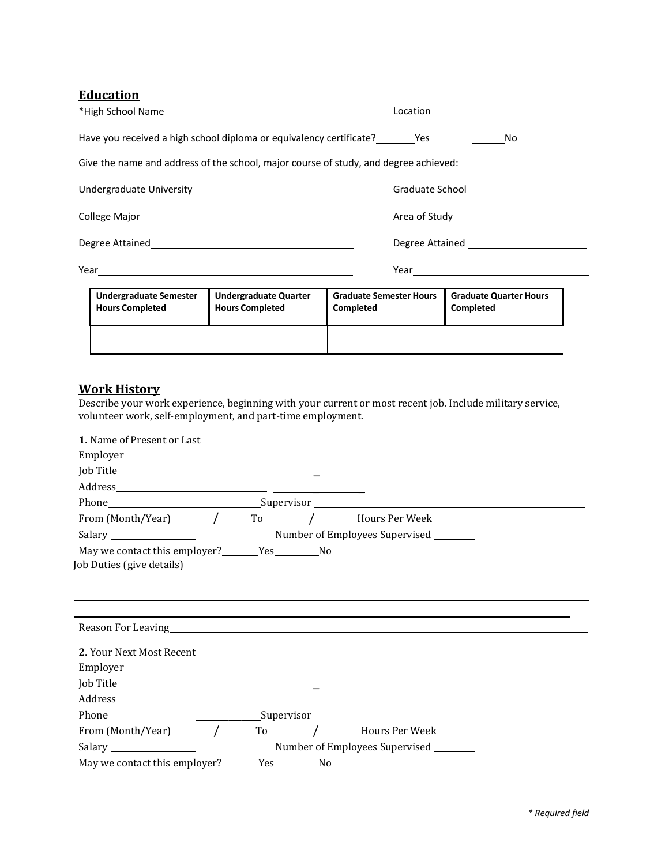# **Education**

| <b>Undergraduate Semester</b><br><b>Hours Completed</b>                              | <b>Undergraduate Quarter</b><br><b>Hours Completed</b> | <b>Completed</b> | <b>Graduate Semester Hours</b> | <b>Graduate Quarter Hours</b><br>Completed |
|--------------------------------------------------------------------------------------|--------------------------------------------------------|------------------|--------------------------------|--------------------------------------------|
|                                                                                      |                                                        |                  |                                | Year <u>____________________</u>           |
|                                                                                      |                                                        |                  |                                |                                            |
|                                                                                      |                                                        |                  |                                |                                            |
|                                                                                      |                                                        |                  |                                |                                            |
| Give the name and address of the school, major course of study, and degree achieved: |                                                        |                  |                                |                                            |
| Have you received a high school diploma or equivalency certificate?                  |                                                        |                  |                                | $\overline{\phantom{a}}$ No                |
|                                                                                      |                                                        |                  |                                |                                            |

| --<br><b>Hours Completed</b> | <b>Hours Completed</b> | <b>Completed</b> | Completed |
|------------------------------|------------------------|------------------|-----------|
|                              |                        |                  |           |

# **Work History**

Describe your work experience, beginning with your current or most recent job. Include military service, volunteer work, self‐employment, and part‐time employment.

| 1. Name of Present or Last                                           |                                                                                                                                                                                                                               |
|----------------------------------------------------------------------|-------------------------------------------------------------------------------------------------------------------------------------------------------------------------------------------------------------------------------|
|                                                                      |                                                                                                                                                                                                                               |
|                                                                      |                                                                                                                                                                                                                               |
|                                                                      |                                                                                                                                                                                                                               |
|                                                                      |                                                                                                                                                                                                                               |
|                                                                      | From (Month/Year) $\sqrt{ }$ To $\sqrt{ }$ Hours Per Week                                                                                                                                                                     |
|                                                                      | Number of Employees Supervised                                                                                                                                                                                                |
| May we contact this employer?<br>Yes No<br>Job Duties (give details) |                                                                                                                                                                                                                               |
|                                                                      | Reason For Leaving here are a series of the series of the series of the series of the series of the series of the series of the series of the series of the series of the series of the series of the series of the series of |
| 2. Your Next Most Recent                                             |                                                                                                                                                                                                                               |
|                                                                      |                                                                                                                                                                                                                               |
|                                                                      |                                                                                                                                                                                                                               |
|                                                                      | From $(Month/Year)$ $/$ To $/$ Hours Per Week                                                                                                                                                                                 |
|                                                                      | Number of Employees Supervised                                                                                                                                                                                                |
| May we contact this employer? Ves No                                 |                                                                                                                                                                                                                               |